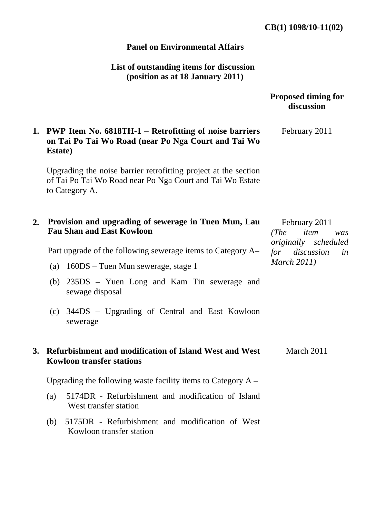## **Panel on Environmental Affairs**

# **List of outstanding items for discussion (position as at 18 January 2011)**

|    |                                                                                                                                                | <b>Proposed timing for</b><br>discussion                                                                    |
|----|------------------------------------------------------------------------------------------------------------------------------------------------|-------------------------------------------------------------------------------------------------------------|
|    | 1. PWP Item No. 6818TH-1 – Retrofitting of noise barriers<br>on Tai Po Tai Wo Road (near Po Nga Court and Tai Wo<br><b>Estate</b> )            | February 2011                                                                                               |
|    | Upgrading the noise barrier retrofitting project at the section<br>of Tai Po Tai Wo Road near Po Nga Court and Tai Wo Estate<br>to Category A. |                                                                                                             |
| 2. | Provision and upgrading of sewerage in Tuen Mun, Lau<br><b>Fau Shan and East Kowloon</b>                                                       | February 2011<br>(The<br>item<br>was<br>originally scheduled<br>for discussion<br>in<br><b>March 2011</b> ) |
|    | Part upgrade of the following sewerage items to Category A–                                                                                    |                                                                                                             |
|    | (a) 160DS – Tuen Mun sewerage, stage 1                                                                                                         |                                                                                                             |
|    | (b) 235DS – Yuen Long and Kam Tin sewerage and<br>sewage disposal                                                                              |                                                                                                             |
|    | 344DS – Upgrading of Central and East Kowloon<br>(c)<br>sewerage                                                                               |                                                                                                             |
| 3. | Refurbishment and modification of Island West and West<br><b>Kowloon transfer stations</b>                                                     | March 2011                                                                                                  |
|    | Upgrading the following waste facility items to Category $A -$                                                                                 |                                                                                                             |
|    | 5174DR - Refurbishment and modification of Island<br>(a)<br>West transfer station                                                              |                                                                                                             |
|    | 5175DR - Refurbishment and modification of West<br>(b)<br>Kowloon transfer station                                                             |                                                                                                             |
|    |                                                                                                                                                |                                                                                                             |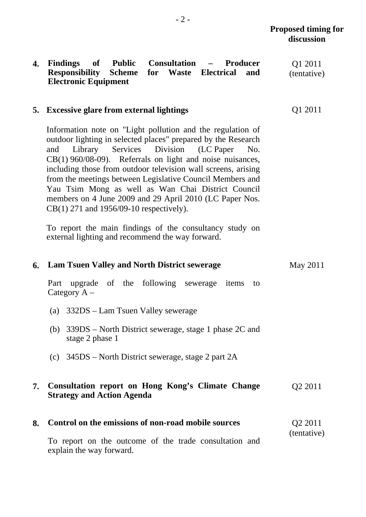Q1 2011

#### **4. Findings of Public Consultation – Producer Waste Electrical Electronic Equipment**  Q1 2011 (tentative)

### **5. Excessive glare from external lightings**

Information note on "Light pollution and the regulation of outdoor lighting in selected places" prepared by the Research and Library Services Division (LC Paper No. CB(1) 960/08-09). Referrals on light and noise nuisances, including those from outdoor television wall screens, arising from the meetings between Legislative Council Members and Yau Tsim Mong as well as Wan Chai District Council members on 4 June 2009 and 29 April 2010 (LC Paper Nos. CB(1) 271 and 1956/09-10 respectively).

To report the main findings of the consultancy study on external lighting and recommend the way forward.

|    | 6. Lam Tsuen Valley and North District sewerage                                        | May 2011            |
|----|----------------------------------------------------------------------------------------|---------------------|
|    | upgrade of the following sewerage items to<br>Part<br>Category $A -$                   |                     |
|    | 332DS – Lam Tsuen Valley sewerage<br>(a)                                               |                     |
|    | (b) $339DS$ – North District sewerage, stage 1 phase 2C and<br>stage 2 phase 1         |                     |
|    | (c) $345DS$ – North District sewerage, stage 2 part 2A                                 |                     |
| 7. | Consultation report on Hong Kong's Climate Change<br><b>Strategy and Action Agenda</b> | Q <sub>2</sub> 2011 |
| 8. | Control on the emissions of non-road mobile sources                                    | Q <sub>2</sub> 2011 |
|    | To report on the outcome of the trade consultation and<br>explain the way forward.     | (tentative)         |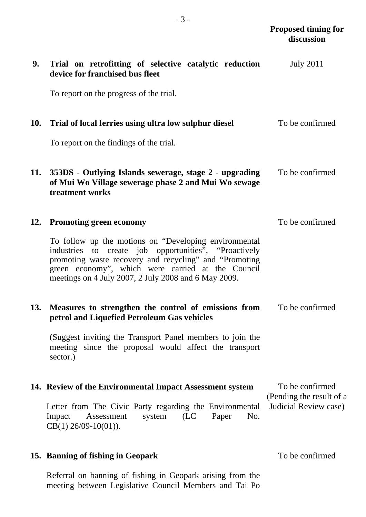| 9.         | Trial on retrofitting of selective catalytic reduction<br>device for franchised bus fleet                                                                                                                                                                                             | <b>July 2011</b>                                  |
|------------|---------------------------------------------------------------------------------------------------------------------------------------------------------------------------------------------------------------------------------------------------------------------------------------|---------------------------------------------------|
|            | To report on the progress of the trial.                                                                                                                                                                                                                                               |                                                   |
| <b>10.</b> | Trial of local ferries using ultra low sulphur diesel                                                                                                                                                                                                                                 | To be confirmed                                   |
|            | To report on the findings of the trial.                                                                                                                                                                                                                                               |                                                   |
| 11.        | 353DS - Outlying Islands sewerage, stage 2 - upgrading<br>of Mui Wo Village sewerage phase 2 and Mui Wo sewage<br>treatment works                                                                                                                                                     | To be confirmed                                   |
| 12.        | <b>Promoting green economy</b>                                                                                                                                                                                                                                                        | To be confirmed                                   |
|            | To follow up the motions on "Developing environmental<br>industries to create job opportunities", "Proactively<br>promoting waste recovery and recycling" and "Promoting<br>green economy", which were carried at the Council<br>meetings on 4 July 2007, 2 July 2008 and 6 May 2009. |                                                   |
| 13.        | Measures to strengthen the control of emissions from<br>petrol and Liquefied Petroleum Gas vehicles                                                                                                                                                                                   | To be confirmed                                   |
|            | (Suggest inviting the Transport Panel members to join the<br>meeting since the proposal would affect the transport<br>sector.)                                                                                                                                                        |                                                   |
|            | 14. Review of the Environmental Impact Assessment system                                                                                                                                                                                                                              | To be confirmed                                   |
|            | Letter from The Civic Party regarding the Environmental<br>system<br>(LC)<br>Paper<br>No.<br>Assessment<br>Impact<br>$CB(1)$ 26/09-10(01)).                                                                                                                                           | (Pending the result of a<br>Judicial Review case) |
|            |                                                                                                                                                                                                                                                                                       |                                                   |

## **15. Banning of fishing in Geopark**

Referral on banning of fishing in Geopark arising from the meeting between Legislative Council Members and Tai Po To be confirmed